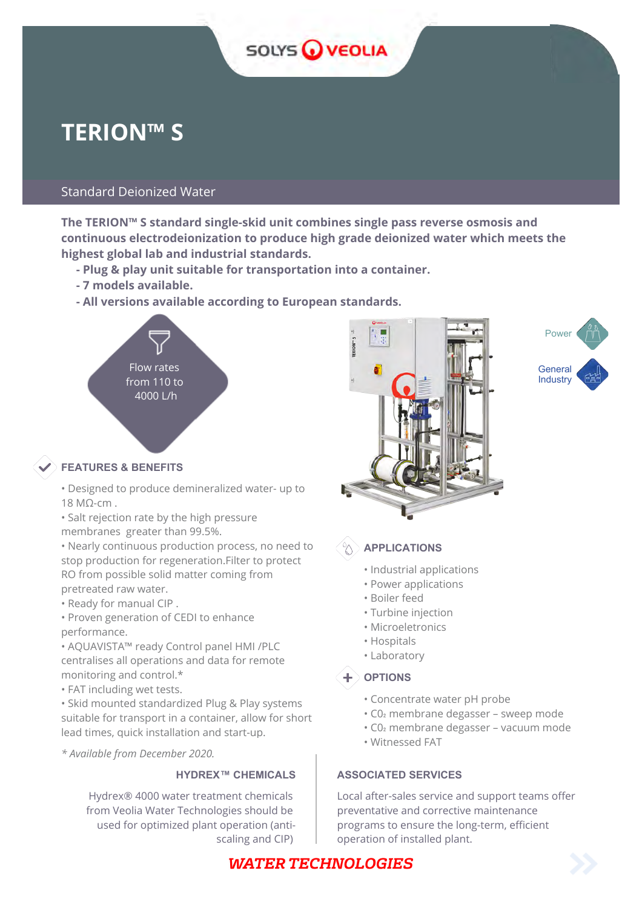# SOLYS OVEOLIA

# **TERION™ S**

# Standard Deionized Water

**The TERION™ S standard single-skid unit combines single pass reverse osmosis and continuous electrodeionization to produce high grade deionized water which meets the highest global lab and industrial standards.**

- **Plug & play unit suitable for transportation into a container.**
- **7 models available.**
- **All versions available according to European standards.**



# **FEATURES & BENEFITS**

• Designed to produce demineralized water- up to 18 MΩ-cm .

• Salt rejection rate by the high pressure membranes greater than 99.5%.

• Nearly continuous production process, no need to stop production for regeneration.Filter to protect RO from possible solid matter coming from pretreated raw water.

• Ready for manual CIP .

• Proven generation of CEDI to enhance performance.

• AQUAVISTA™ ready Control panel HMI /PLC centralises all operations and data for remote monitoring and control.\*

• FAT including wet tests.

• Skid mounted standardized Plug & Play systems suitable for transport in a container, allow for short lead times, quick installation and start-up.

*\* Available from December 2020.*

Hydrex® 4000 water treatment chemicals from Veolia Water Technologies should be used for optimized plant operation (antiscaling and CIP)





**APPLICATIONS**

- Industrial applications
- Power applications
- Boiler feed
- Turbine injection
- Microeletronics
- Hospitals
- Laboratory

# $\textbf{+}$  options

- Concentrate water pH probe
- C0₂ membrane degasser sweep mode
- C0₂ membrane degasser vacuum mode
- *tion and start-up.* Witnessed FAT

# **HYDREX™ CHEMICALS | ASSOCIATED SERVICES**

Local after-sales service and support teams offer preventative and corrective maintenance programs to ensure the long-term, efficient operation of installed plant.